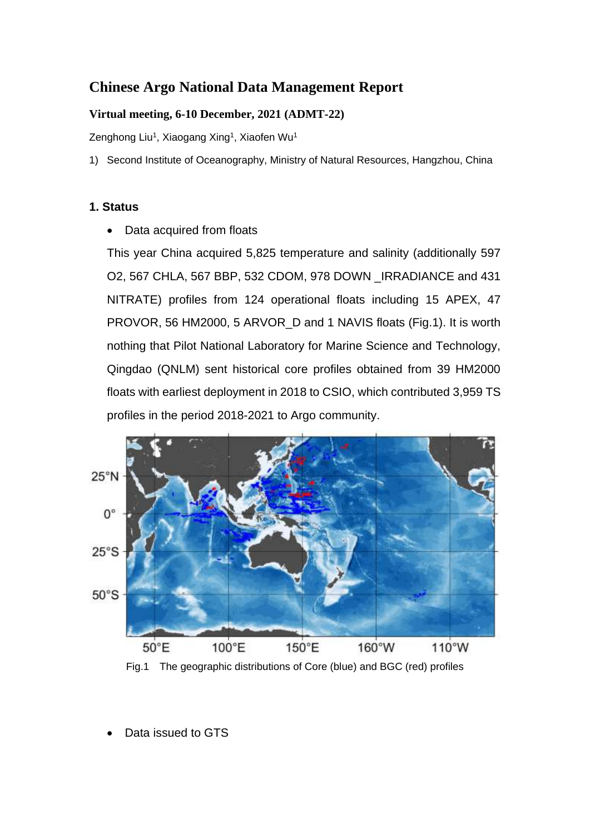# **Chinese Argo National Data Management Report**

#### **Virtual meeting, 6-10 December, 2021 (ADMT-22)**

Zenghong Liu<sup>1</sup>, Xiaogang Xing<sup>1</sup>, Xiaofen Wu<sup>1</sup>

1) Second Institute of Oceanography, Ministry of Natural Resources, Hangzhou, China

#### **1. Status**

Data acquired from floats

This year China acquired 5,825 temperature and salinity (additionally 597 O2, 567 CHLA, 567 BBP, 532 CDOM, 978 DOWN \_IRRADIANCE and 431 NITRATE) profiles from 124 operational floats including 15 APEX, 47 PROVOR, 56 HM2000, 5 ARVOR\_D and 1 NAVIS floats (Fig.1). It is worth nothing that Pilot National Laboratory for Marine Science and Technology, Qingdao (QNLM) sent historical core profiles obtained from 39 HM2000 floats with earliest deployment in 2018 to CSIO, which contributed 3,959 TS profiles in the period 2018-2021 to Argo community.



Fig.1 The geographic distributions of Core (blue) and BGC (red) profiles

Data issued to GTS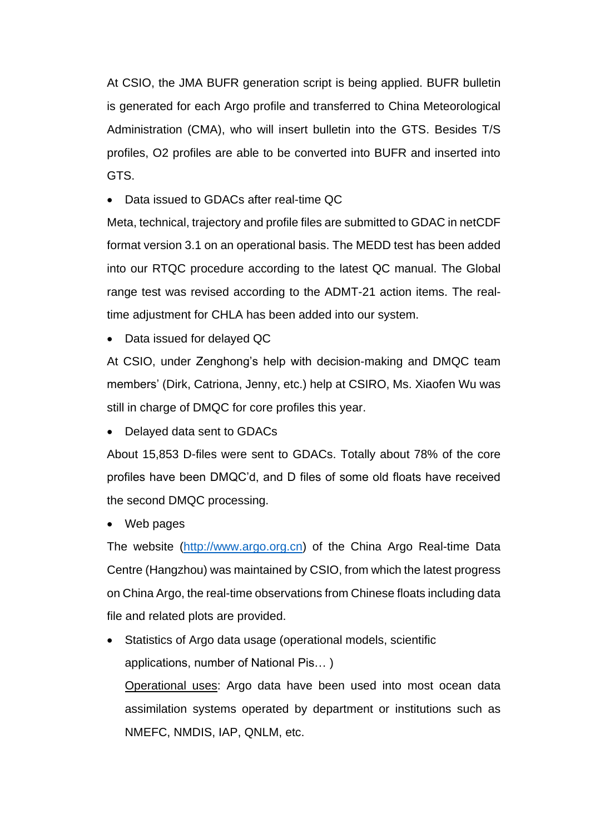At CSIO, the JMA BUFR generation script is being applied. BUFR bulletin is generated for each Argo profile and transferred to China Meteorological Administration (CMA), who will insert bulletin into the GTS. Besides T/S profiles, O2 profiles are able to be converted into BUFR and inserted into GTS.

• Data issued to GDACs after real-time QC

Meta, technical, trajectory and profile files are submitted to GDAC in netCDF format version 3.1 on an operational basis. The MEDD test has been added into our RTQC procedure according to the latest QC manual. The Global range test was revised according to the ADMT-21 action items. The realtime adjustment for CHLA has been added into our system.

• Data issued for delayed QC

At CSIO, under Zenghong's help with decision-making and DMQC team members' (Dirk, Catriona, Jenny, etc.) help at CSIRO, Ms. Xiaofen Wu was still in charge of DMQC for core profiles this year.

• Delayed data sent to GDACs

About 15,853 D-files were sent to GDACs. Totally about 78% of the core profiles have been DMQC'd, and D files of some old floats have received the second DMQC processing.

• Web pages

The website [\(http://www.argo.org.cn\)](http://www.argo.org.cn/) of the China Argo Real-time Data Centre (Hangzhou) was maintained by CSIO, from which the latest progress on China Argo, the real-time observations from Chinese floats including data file and related plots are provided.

Statistics of Argo data usage (operational models, scientific applications, number of National Pis… )

Operational uses: Argo data have been used into most ocean data assimilation systems operated by department or institutions such as NMEFC, NMDIS, IAP, QNLM, etc.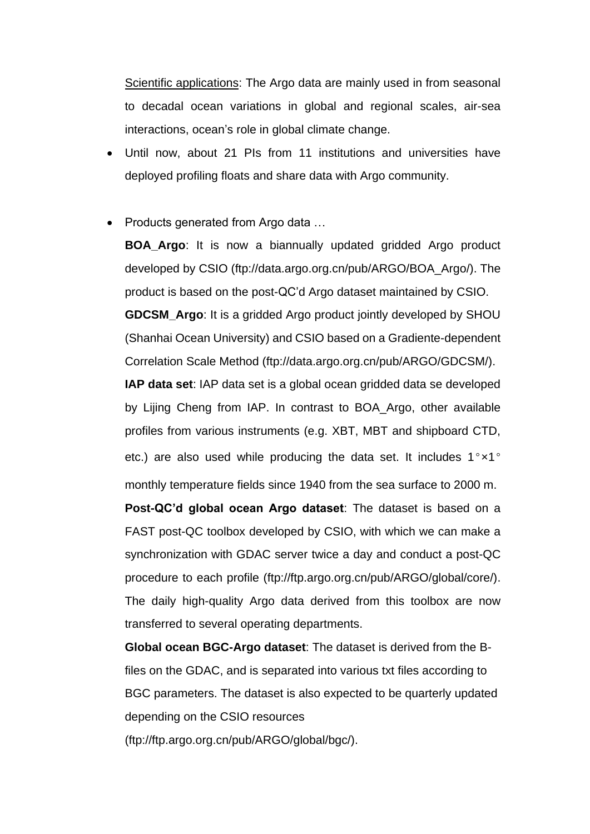Scientific applications: The Argo data are mainly used in from seasonal to decadal ocean variations in global and regional scales, air-sea interactions, ocean's role in global climate change.

- Until now, about 21 PIs from 11 institutions and universities have deployed profiling floats and share data with Argo community.
- Products generated from Argo data …

**BOA\_Argo**: It is now a biannually updated gridded Argo product developed by CSIO (ftp://data.argo.org.cn/pub/ARGO/BOA\_Argo/). The product is based on the post-QC'd Argo dataset maintained by CSIO.

**GDCSM\_Argo**: It is a gridded Argo product jointly developed by SHOU (Shanhai Ocean University) and CSIO based on a Gradiente-dependent Correlation Scale Method (ftp://data.argo.org.cn/pub/ARGO/GDCSM/).

**IAP data set**: IAP data set is a global ocean gridded data se developed by Lijing Cheng from IAP. In contrast to BOA\_Argo, other available profiles from various instruments (e.g. XBT, MBT and shipboard CTD, etc.) are also used while producing the data set. It includes 1°x1° monthly temperature fields since 1940 from the sea surface to 2000 m.

**Post-QC'd global ocean Argo dataset**: The dataset is based on a FAST post-QC toolbox developed by CSIO, with which we can make a synchronization with GDAC server twice a day and conduct a post-QC procedure to each profile (ftp://ftp.argo.org.cn/pub/ARGO/global/core/). The daily high-quality Argo data derived from this toolbox are now transferred to several operating departments.

**Global ocean BGC-Argo dataset**: The dataset is derived from the Bfiles on the GDAC, and is separated into various txt files according to BGC parameters. The dataset is also expected to be quarterly updated depending on the CSIO resources

(ftp://ftp.argo.org.cn/pub/ARGO/global/bgc/).